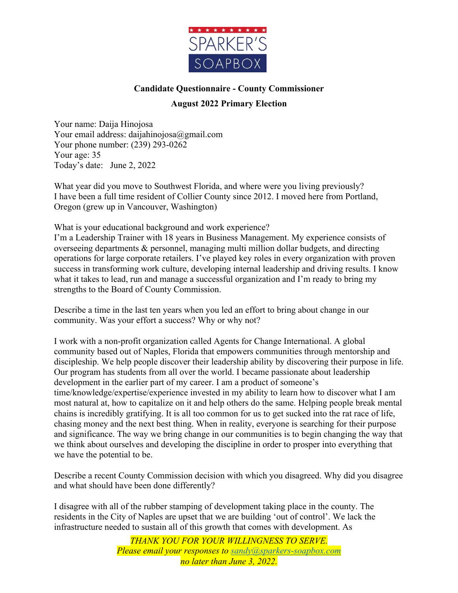

## **Candidate Questionnaire - County Commissioner August 2022 Primary Election**

Your name: Daija Hinojosa Your email address: daijahinojosa@gmail.com Your phone number: (239) 293-0262 Your age: 35 Today's date: June 2, 2022

What year did you move to Southwest Florida, and where were you living previously? I have been a full time resident of Collier County since 2012. I moved here from Portland, Oregon (grew up in Vancouver, Washington)

What is your educational background and work experience?

I'm a Leadership Trainer with 18 years in Business Management. My experience consists of overseeing departments & personnel, managing multi million dollar budgets, and directing operations for large corporate retailers. I've played key roles in every organization with proven success in transforming work culture, developing internal leadership and driving results. I know what it takes to lead, run and manage a successful organization and I'm ready to bring my strengths to the Board of County Commission.

Describe a time in the last ten years when you led an effort to bring about change in our community. Was your effort a success? Why or why not?

I work with a non-profit organization called Agents for Change International. A global community based out of Naples, Florida that empowers communities through mentorship and discipleship. We help people discover their leadership ability by discovering their purpose in life. Our program has students from all over the world. I became passionate about leadership development in the earlier part of my career. I am a product of someone's time/knowledge/expertise/experience invested in my ability to learn how to discover what I am most natural at, how to capitalize on it and help others do the same. Helping people break mental chains is incredibly gratifying. It is all too common for us to get sucked into the rat race of life, chasing money and the next best thing. When in reality, everyone is searching for their purpose and significance. The way we bring change in our communities is to begin changing the way that we think about ourselves and developing the discipline in order to prosper into everything that we have the potential to be.

Describe a recent County Commission decision with which you disagreed. Why did you disagree and what should have been done differently?

I disagree with all of the rubber stamping of development taking place in the county. The residents in the City of Naples are upset that we are building 'out of control'. We lack the infrastructure needed to sustain all of this growth that comes with development. As

> *THANK YOU FOR YOUR WILLINGNESS TO SERVE. Please email your responses to sandy@sparkers-soapbox.com no later than June 3, 2022.*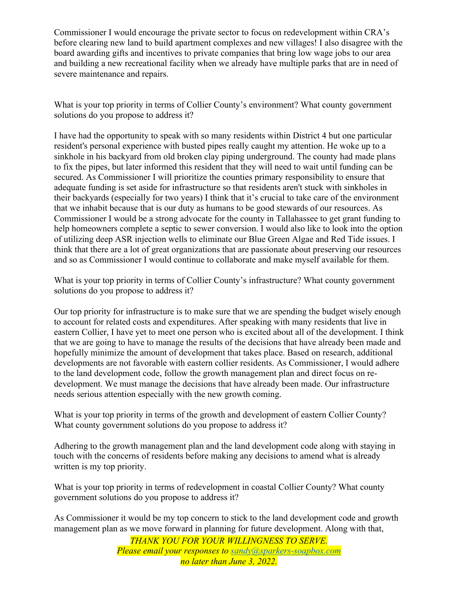Commissioner I would encourage the private sector to focus on redevelopment within CRA's before clearing new land to build apartment complexes and new villages! I also disagree with the board awarding gifts and incentives to private companies that bring low wage jobs to our area and building a new recreational facility when we already have multiple parks that are in need of severe maintenance and repairs.

What is your top priority in terms of Collier County's environment? What county government solutions do you propose to address it?

I have had the opportunity to speak with so many residents within District 4 but one particular resident's personal experience with busted pipes really caught my attention. He woke up to a sinkhole in his backyard from old broken clay piping underground. The county had made plans to fix the pipes, but later informed this resident that they will need to wait until funding can be secured. As Commissioner I will prioritize the counties primary responsibility to ensure that adequate funding is set aside for infrastructure so that residents aren't stuck with sinkholes in their backyards (especially for two years) I think that it's crucial to take care of the environment that we inhabit because that is our duty as humans to be good stewards of our resources. As Commissioner I would be a strong advocate for the county in Tallahassee to get grant funding to help homeowners complete a septic to sewer conversion. I would also like to look into the option of utilizing deep ASR injection wells to eliminate our Blue Green Algae and Red Tide issues. I think that there are a lot of great organizations that are passionate about preserving our resources and so as Commissioner I would continue to collaborate and make myself available for them.

What is your top priority in terms of Collier County's infrastructure? What county government solutions do you propose to address it?

Our top priority for infrastructure is to make sure that we are spending the budget wisely enough to account for related costs and expenditures. After speaking with many residents that live in eastern Collier, I have yet to meet one person who is excited about all of the development. I think that we are going to have to manage the results of the decisions that have already been made and hopefully minimize the amount of development that takes place. Based on research, additional developments are not favorable with eastern collier residents. As Commissioner, I would adhere to the land development code, follow the growth management plan and direct focus on redevelopment. We must manage the decisions that have already been made. Our infrastructure needs serious attention especially with the new growth coming.

What is your top priority in terms of the growth and development of eastern Collier County? What county government solutions do you propose to address it?

Adhering to the growth management plan and the land development code along with staying in touch with the concerns of residents before making any decisions to amend what is already written is my top priority.

What is your top priority in terms of redevelopment in coastal Collier County? What county government solutions do you propose to address it?

As Commissioner it would be my top concern to stick to the land development code and growth management plan as we move forward in planning for future development. Along with that,

> *THANK YOU FOR YOUR WILLINGNESS TO SERVE. Please email your responses to sandy@sparkers-soapbox.com no later than June 3, 2022.*